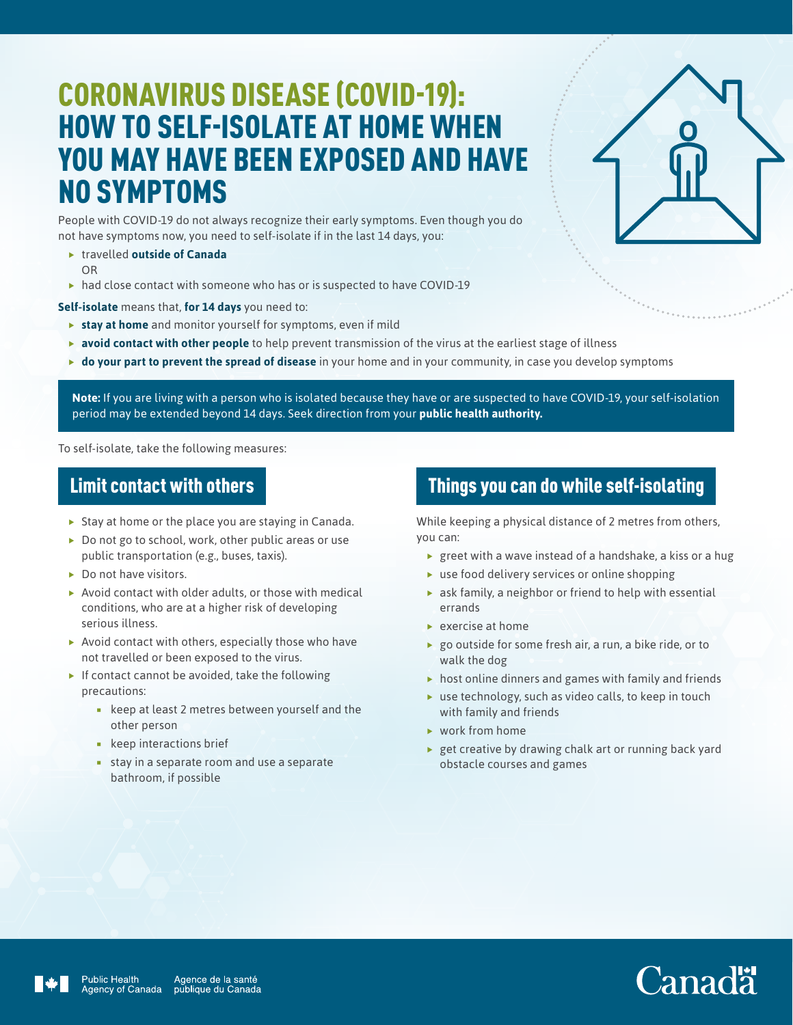## CORONAVIRUS DISEASE (COVID-19): HOW TO SELF-ISOLATE AT HOME WHEN YOU MAY HAVE BEEN EXPOSED AND HAVE NO SYMPTOMS

People with COVID-19 do not always recognize their early symptoms. Even though you do not have symptoms now, you need to self-isolate if in the last 14 days, you:

- **F** travelled **outside of Canada** OR
- $\blacktriangleright$  had close contact with someone who has or is suspected to have COVID-19

**Self-isolate** means that, **for 14 days** you need to:

- **stay at home** and monitor yourself for symptoms, even if mild
- **avoid contact with other people** to help prevent transmission of the virus at the earliest stage of illness
- **If do your part to prevent the spread of disease** in your home and in your community, in case you develop symptoms

**Note:** If you are living with a person who is isolated because they have or are suspected to have COVID-19, your self-isolation period may be extended beyond 14 days. Seek direction from your **[public health authority](https://www.canada.ca/en/public-health/services/diseases/2019-novel-coronavirus-infection/symptoms/provincial-territorial-resources-covid-19.html).**

To self-isolate, take the following measures:

#### Limit contact with others

- $\blacktriangleright$  Stay at home or the place you are staying in Canada.
- $\blacktriangleright$  Do not go to school, work, other public areas or use public transportation (e.g., buses, taxis).
- $\triangleright$  Do not have visitors.
- $\blacktriangleright$  Avoid contact with older adults, or those with medical conditions, who are at a higher risk of developing serious illness.
- $\blacktriangleright$  Avoid contact with others, especially those who have not travelled or been exposed to the virus.
- $\blacktriangleright$  If contact cannot be avoided, take the following precautions:
	- **EXECT:** keep at least 2 metres between yourself and the other person
	- **keep interactions brief**
	- **stay in a separate room and use a separate** bathroom, if possible

#### Things you can do while self-isolating

While keeping a physical distance of 2 metres from others, you can:

- $\blacktriangleright$  greet with a wave instead of a handshake, a kiss or a hug
- $\blacktriangleright$  use food delivery services or online shopping
- $\triangleright$  ask family, a neighbor or friend to help with essential errands
- $\blacktriangleright$  exercise at home
- $\triangleright$  go outside for some fresh air, a run, a bike ride, or to walk the dog
- $\triangleright$  host online dinners and games with family and friends
- $\blacktriangleright$  use technology, such as video calls, to keep in touch with family and friends
- $\blacktriangleright$  work from home
- $\rightarrow$  get creative by drawing chalk art or running back yard obstacle courses and games